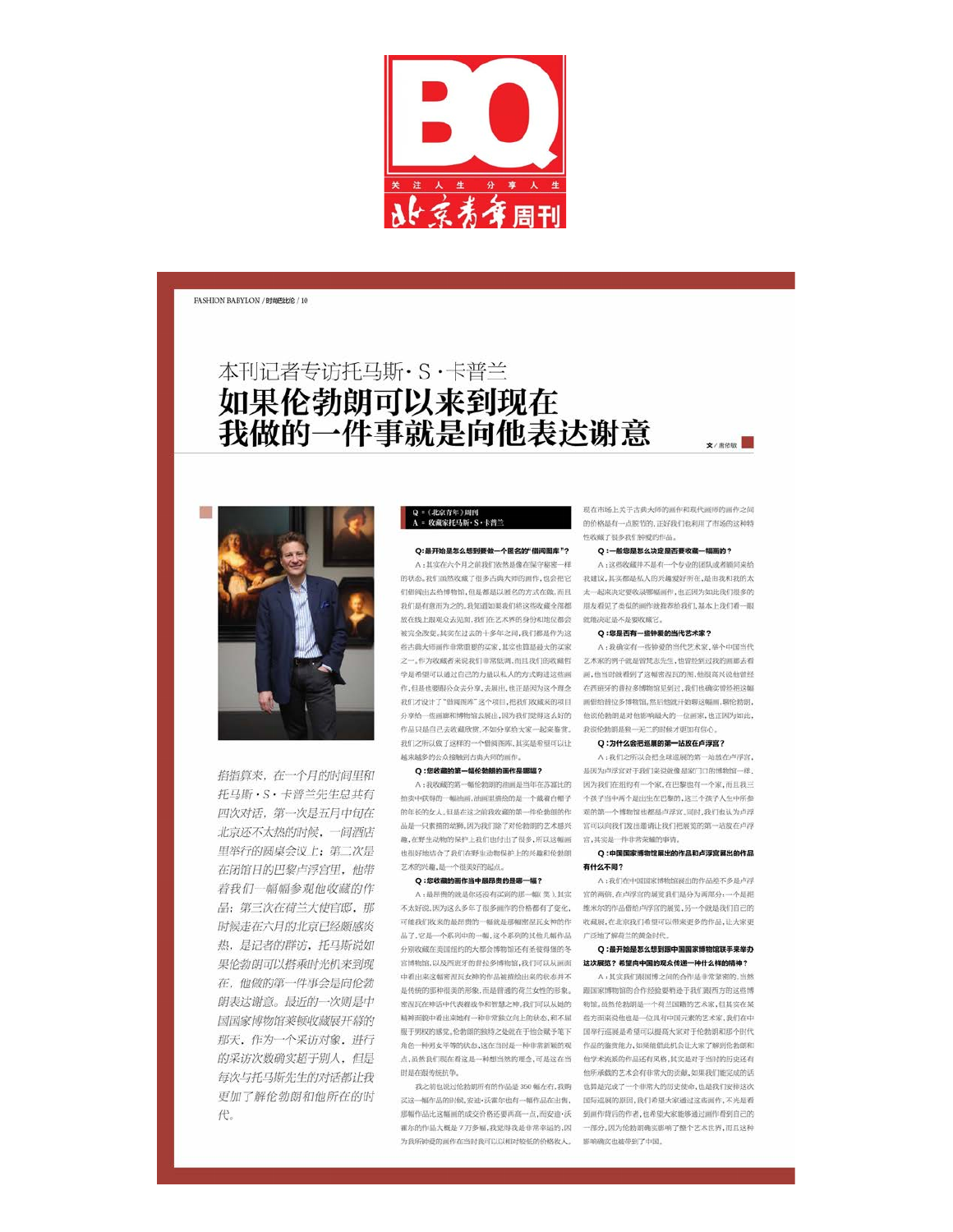

**FASHION BABYLON / 时能巴比伦 / 10** 

# 本刊记者专访托马斯·S·卡普兰 如果伦勃朗可以来到现在 我做的一件事就是向他表达谢意



掐指算来, 在一个月的时间里和 托马斯·S·卡普兰先生总共有 四次对话, 第一次是五月中旬在 北京还不太热的时候, 一间酒店 里举行的圆桌会议上;第二次是 在闭馆日的巴黎卢浮宫里, 他带 着我们一幅幅参观他收藏的作 品; 第三次在荷兰大使官邸, 那 时候走在六月的北京已经颇感炎 热, 是记者的群访, 托马斯说如 果伦勃朗可以搭乘时光机来到现 在,他做的第一件事会是向伦勃 朗表达谢意。最近的一次则是中 国国家博物馆莱顿收藏展开幕的 那天,作为一个采访对象,进行 的采访次数确实超于别人,但是 每次与托马斯先生的对话都让我 更加了解伦勃朗和他所在的时 代。

## Q = 《北京青年》周刊<br>A = 收藏家托马斯・S・卡普兰

### Q:最开始是怎么想到要做一个匿名的"借阅图库"?

A:其实在六个月之前我们依然是像在保守秘密一样 放在线上跟观众去见面,我们在艺术界的身份和地位都会 就能决定是不是要收藏它。 被完全改变。其实在过去的十多年之间,我们都是作为这 些古典大师画作非常重要的买家,其实也算是最大的买家 作品只是自己去收藏欣赏,不如分享给大家一起来鉴赏。 我说伦勃朗是独一无二的时候才更加有信心。 我们之所以做了这样的一个借阅图库,其实是希望可以让 Q:为什么会把巡展的第一站放在卢浮宫? 越来越多的公众接触到古典大师的画作。

#### Q:您收藏的第一幅伦勃朗的画作是哪幅?

趣,在野生动物的保护上我们也付出了很多,所以这幅画 宫,其实是一件非常荣耀的事情。 也很好地结合了我们在野生动物保护上的兴趣和伦勃朗 艺术的兴趣,是一个很美好的起点。

#### O:您收藏的画作当中最昂贵的是墨一幅?

不太好说,因为这么多年了很多画作的价格都有了变化, 维米尔的作品借给卢浮宫的展览,另一个就是我们自己的 可能我们收来的最昂贵的一幅就是那幅密湿反女神的作 收藏局,在北京我们希望可以带来更多的作品,让大家更 品了,它是一个系列中的一幅,这个系列的其他几幅作品 广泛地了解荷兰的黄金时代。 分别收藏在美国纽约的大都会博物馆还有圣彼得堡的冬 宫博物馆,以及西班牙的普拉多博物馆,我们可以从画面。这次展览?希望向中国的现众传递一种什么样的精神? 中看出来这幅密程瓦女神的作品被描绘出来的状态并不 时是在跟传统抗争。

为我所钟爱的画作在当时我可以以相对较低的价格收入。 影响确实也被带到了中国。

现在市场上关于古典大师的画作和现代画师的画作之间 的价格是有一点脱节的,正好我们也利用了市场的这种特 性收藏了很多我们特别的作品。

 $\bullet$  / mone

#### Q:一般您是怎么决定是否要收藏一幅画的?

A:这些收藏并不是有一个专业的团队或者顾问来给 的状态,我们虽然收藏了很多古典大师的画作,也会把它 我建议,其实都是私人的兴趣爱好所在,是由我和我的太 们借网出去给博物馆,但是都是以题名的方式在做,而且 太一起来决定要收录哪幅画作,也正因为如此我们很多的 我们思有意而为之的,我知道如果我们将这些收藏全部都 用友着见了类似的画作就推荐给我们,其本上我们看一眼

#### Q:您是否有一些钟爱的当代艺术家?

A: 我确实有一些钟爱的当代艺术家, 举个中国当代 之一。作为收藏者来说我们非常低调,而且我们的收藏哲 艺术家的例子就是曾梵志先生,他曾经到过我的画廊去看 学是希望可以通过自己的力量以私人的方式购进这些画 画,他当时就看到了这幅密涅瓦的图,他很高兴说他曾经 作,但是也要服公众去分享,去展出,也正是因为这个理念 在西班牙的普拉多博物馆见到过,我们也确实曾经把这幅 我们才设计了"借阅图库"这个项目,把我们收藏来的项目 画借给替拉多博物馆,然后他就开始聊这幅画,聊伦勃朗, 分享给一些画廊和博物馆去展出,因为我们觉得这么好的 他说伦勃朗是对他影响最大的一位画家,也正因为如此,

A:我们之所以会把金球巡展的第一站放在卢浮宫, 是因为卢浮宫对于我们来说就像是家门口的博物馆一样。 A:我收藏的第一幅伦勃朗的油画是当年在苏富比的 因为我们在纽约有一个家,在巴黎也有一个家,而且我三 拍卖中获得的一幅油画,油画里描绘的是一个戴着白帽子 个孩子当中两个是出生在巴黎的,这三个孩子人生中所参 的年长的女人。但是在这之前我收藏的第一件伦勃朗的作 观的第一个博物馆也都是卢浮宫。同时,我们也认为卢浮 品是一只素描的幼狮,因为我们除了对伦勃朗的艺术感兴 宫可以向我们发出邀请让我们把展览的第一站放在卢浮

#### Q:中国国家博物馆展出的作品和卢浮宫展出的作品 有什么不同?

A:我们在中国国家博物馆展出的作品差不多是卢浮 A:最昂贵的就是你还没有买到的那一幅(笑)。其实 宫的两倍,在卢浮宫的展览我们是分为两部分:一个是把

# Q:最开始是怎么想到跟中国国家博物馆联手来举办

A:其实我们跟国博之间的合作是非常紧密的,当然 是传统的那种很美的形象,而是普通的荷兰女性的形象。 跟国家博物馆的合作经验要稍逊于我们跟西方的这些博 密涅瓦在神话中代表着战争和智慧之神,我们可以从她的 物馆,虽然伦勃朗是一个荷兰国籍的艺术家,但其实在某 精神面貌中看出来她有一种非常独立向上的状态,和不屈 些方面来说他也是一位具有中国元素的艺术家,我们在中 服于男权的感觉,伦勃朗的独特之处就在于他会赋予笔下 国举行巡展是希望可以提高大家对于伦勃朗和那个时代 角色一种男女平等的状态,这在当时是一种非常新颖的观 作品的鉴赏能力,如果能借此机会让大家了解到伦勃朗和 点,虽然我们现在看这是一种想当然的理念,可是这在当 他学术流派的作品还有风格,其实是对于当时的历史还有 他所承载的艺术会有非常大的贡献,如果我们能完成的话 我之前也说过伦勃朗所有的作品是350幅左右,我购 也算是完成了一个非常大的历史使命,也是我们安排这次 买这一幅作品的时候,安迪·沃霍尔也有一幅作品在出售, 国际巡展的原因,我们希望大家通过这些画作,不光是看 那幅作品比这幅画的成交价格还要再高一点,而安迪·沃 到画作背后的作者,也希望大家能够通过画作看到自己的 霍尔的作品大概是7万多幅,我觉得我是非常幸运的,因 一部分。因为伦勃朗确实影响了整个艺术世界,而且这种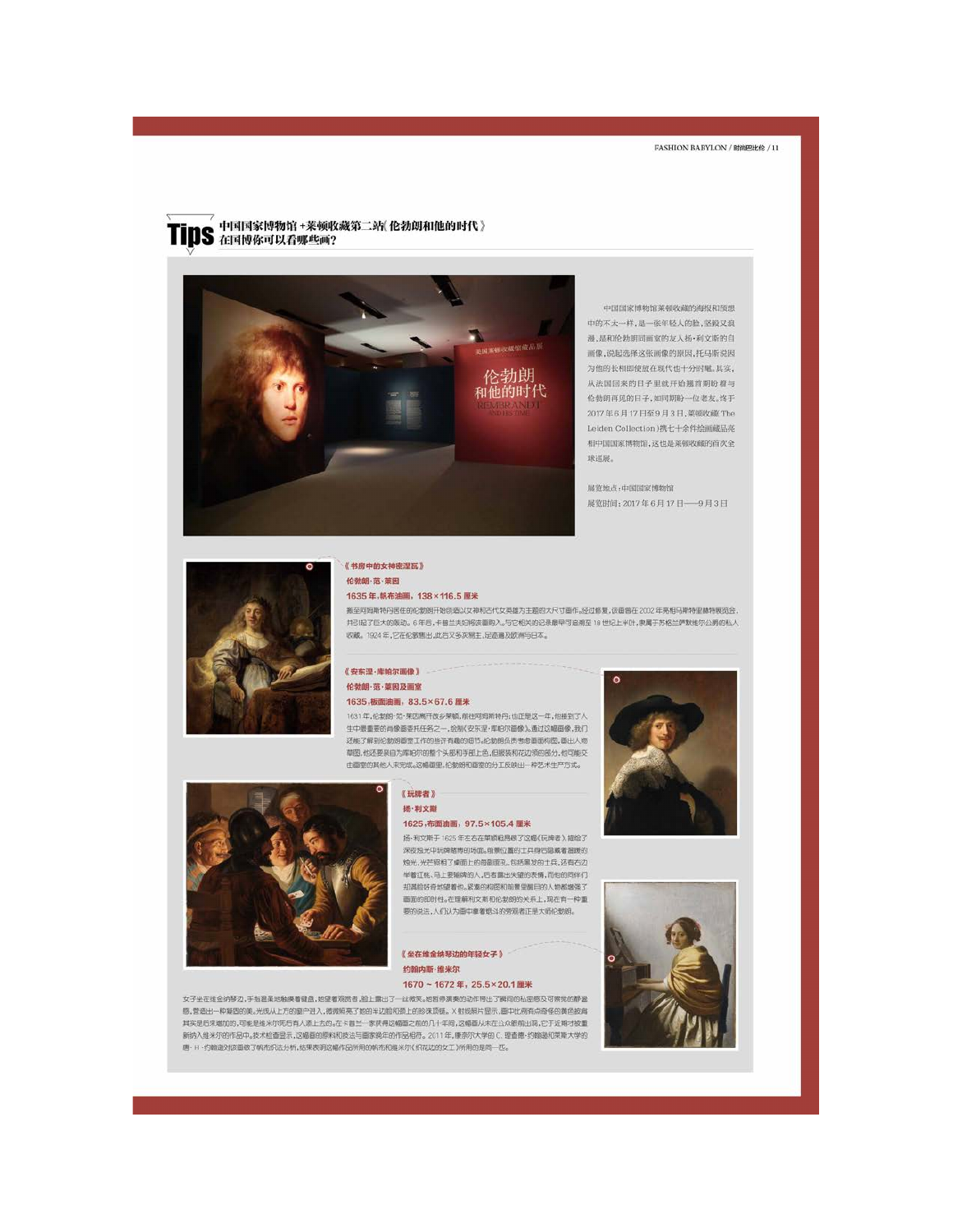### 中国国家博物馆+菜顿收藏第二站《伦勃朗和他的时代》 **IS** 在国博你可以看哪些画?



中国国家博物馆莱顿收藏的海报和预想 中的不太一样,是一张年轻人的脸,坚毅又浪 漫,是和伦勃朗同画室的友人扬·利文斯的自 画像,说起选择这张画像的原因,托马斯说因 为他的长相即使放在现代也十分时髦,其实, 从法国回来的日子里就开始翘首期盼着与 伦勃朗再见的日子,如同期盼一位老友。终于 2017年6月17日至9月3日,菜顿收藏 The Leiden Collection)携七十余件绘画藏品亮 相中国国家博物馆,这也是莱顿收藏的首次全 球巡视

展览地点:中国国家博物馆 展览时间: 2017年6月17日 -- 9月3日



### 《书房中的女神密涅瓦》 伦勃朗·范·英因

#### 1635年,帆布油画, 138×116.5 厘米

搬至阿姆斯特丹居住的伦勃朗开始创造以女神和古代女英雄为主题的大尺寸画作。经过修复,该面曾在2002年亮相马斯特里赫特展览会, 并引起了巨大的魔动。6年后,卡普兰夫妇将该面购入。与它相关的记录最早可追溯至18世纪上半叶,隶属于苏格兰萨默维尔公爵的私人 收藏。1924年,它在伦敦售出,此后又多次易主,足迹通及欧洲与日本。

### 《安东涅·库帕尔画像》 伦勃朗·范·莱因及画室

### 1635,板面油画, 83.5×67.6 厘米

1631年,伦勃朗·范·莱因离开故乡莱顿,前往网姆斯特丹;也正是这一年,他接到了人 生中最重要的肖像画委托任务之一,绘制(安东涅·库帕尔画像)。通过这幅画像,我们 还能了解到伦勃朗画室工作的些许有趣的培节。伦勃朗负责考虑画面构图,画出人物 草图,他还要亲自为库帕尔的整个头部和手部上色,但服装和花边领的部分,他可能交 由画室的其他人来完成。这幅画里,伦勃朗和画室的分工反映出一种艺术生产方式。



#### 《玩牌者》 扬·利文斯 1625,布面油画, 97.5×105.4 厘米

扬·利文斯于1625年左右在莱顿粗昂破了这幅(玩牌者),描绘了 深夜烛光中玩牌赌博的场面。有景位置的士兵身后隐藏着温暖的 烛光,光芒照相了桌面上的每副面孔,包括黑发的士兵,还有石边 举着红帐、马上要输牌的人,后者露出失望的表情,而他的同伴们 却满脸好奇地望着也。紧凑的构图和前景里醒目的人物都增强了 画面的即时性。在理解利文斯和伦勃朗的关系上,现在有一种重 要的说法,人们认为面中拿着烟斗的旁观者正是大师伦勃朗。

### 《坐在维金纳琴边的年轻女子》 约翰内斯·维米尔

### 1670~1672年, 25.5×20.1 厘米

女子坐在堆金纳琴边,手指温柔地触摸着键盘,她望着观赏者,脸上露出了一丝微笑。她哲停演奏的动作带出了瞬间的私居感及可察觉的静谧 感,营造出一种凝固的美。光线从上方的窗户进入,微微照亮了她的半边脸和颈上的珍珠顶链。X射线照片显示,面中比例有点奇怪的黄色披肩 其实是后来增加的,可能是维米尔死后有人添上去的。在卡普兰一家获得这幅画之前的几十年间,这幅画从未在公众眼前出现,它于近期才被重 新纳入维米尔的作品中。技术检查显示,这幅面的原料和技法与面家晚年的作品相符。2011年,康奈尔大学的C.理查德·约翰逊和果斯大学的 唐·H·约翰逊对该面做了帆布织法分析,结果表明这幅作品所用的帆布和维米尔(织花边的女工)所用的是同一匹。



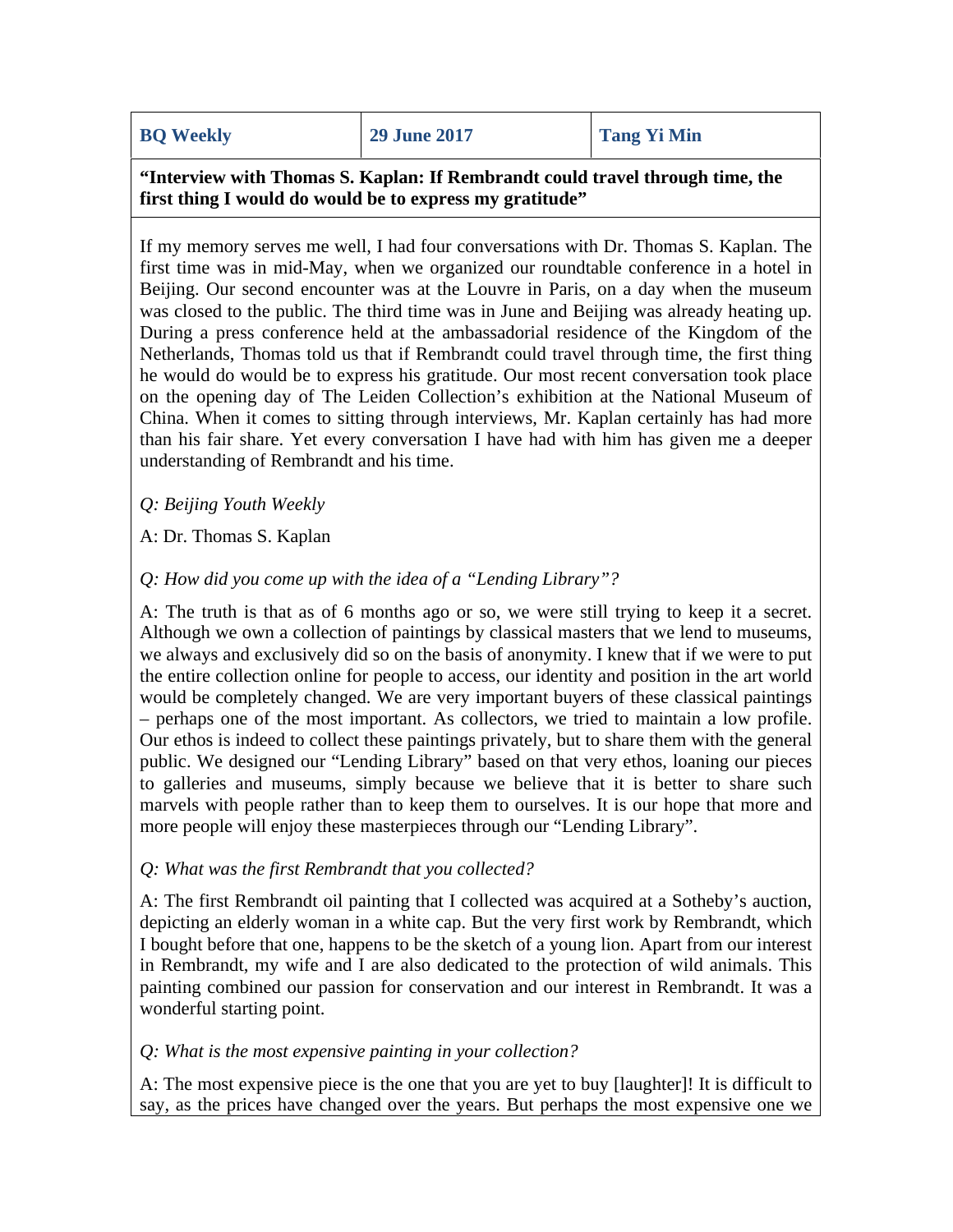**"Interview with Thomas S. Kaplan: If Rembrandt could travel through time, the first thing I would do would be to express my gratitude"**

If my memory serves me well, I had four conversations with Dr. Thomas S. Kaplan. The first time was in mid-May, when we organized our roundtable conference in a hotel in Beijing. Our second encounter was at the Louvre in Paris, on a day when the museum was closed to the public. The third time was in June and Beijing was already heating up. During a press conference held at the ambassadorial residence of the Kingdom of the Netherlands, Thomas told us that if Rembrandt could travel through time, the first thing he would do would be to express his gratitude. Our most recent conversation took place on the opening day of The Leiden Collection's exhibition at the National Museum of China. When it comes to sitting through interviews, Mr. Kaplan certainly has had more than his fair share. Yet every conversation I have had with him has given me a deeper understanding of Rembrandt and his time.

## *Q: Beijing Youth Weekly*

A: Dr. Thomas S. Kaplan

# *Q: How did you come up with the idea of a "Lending Library"?*

A: The truth is that as of 6 months ago or so, we were still trying to keep it a secret. Although we own a collection of paintings by classical masters that we lend to museums, we always and exclusively did so on the basis of anonymity. I knew that if we were to put the entire collection online for people to access, our identity and position in the art world would be completely changed. We are very important buyers of these classical paintings – perhaps one of the most important. As collectors, we tried to maintain a low profile. Our ethos is indeed to collect these paintings privately, but to share them with the general public. We designed our "Lending Library" based on that very ethos, loaning our pieces to galleries and museums, simply because we believe that it is better to share such marvels with people rather than to keep them to ourselves. It is our hope that more and more people will enjoy these masterpieces through our "Lending Library".

## *Q: What was the first Rembrandt that you collected?*

A: The first Rembrandt oil painting that I collected was acquired at a Sotheby's auction, depicting an elderly woman in a white cap. But the very first work by Rembrandt, which I bought before that one, happens to be the sketch of a young lion. Apart from our interest in Rembrandt, my wife and I are also dedicated to the protection of wild animals. This painting combined our passion for conservation and our interest in Rembrandt. It was a wonderful starting point.

## *Q: What is the most expensive painting in your collection?*

A: The most expensive piece is the one that you are yet to buy [laughter]! It is difficult to say, as the prices have changed over the years. But perhaps the most expensive one we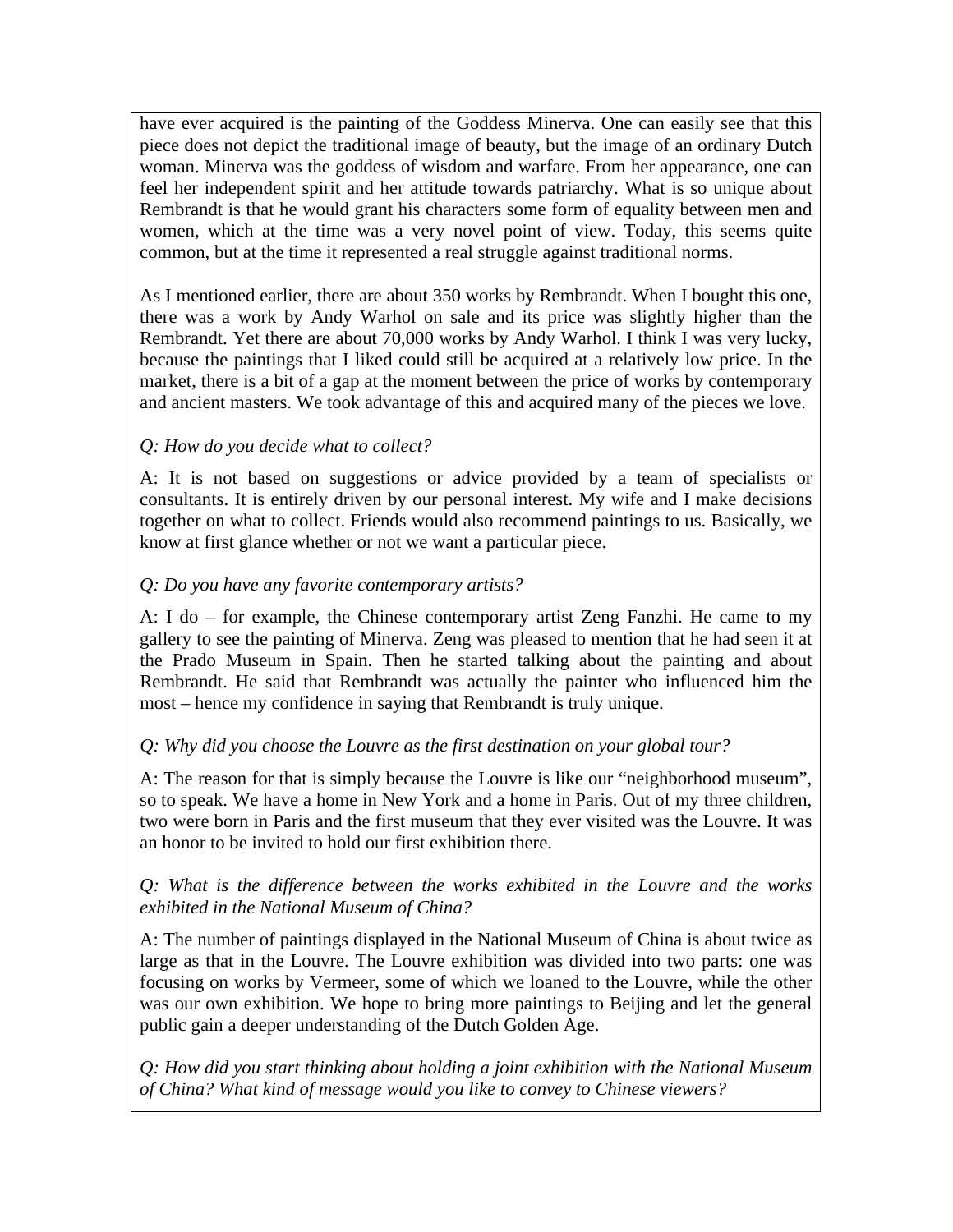have ever acquired is the painting of the Goddess Minerva. One can easily see that this piece does not depict the traditional image of beauty, but the image of an ordinary Dutch woman. Minerva was the goddess of wisdom and warfare. From her appearance, one can feel her independent spirit and her attitude towards patriarchy. What is so unique about Rembrandt is that he would grant his characters some form of equality between men and women, which at the time was a very novel point of view. Today, this seems quite common, but at the time it represented a real struggle against traditional norms.

As I mentioned earlier, there are about 350 works by Rembrandt. When I bought this one, there was a work by Andy Warhol on sale and its price was slightly higher than the Rembrandt. Yet there are about 70,000 works by Andy Warhol. I think I was very lucky, because the paintings that I liked could still be acquired at a relatively low price. In the market, there is a bit of a gap at the moment between the price of works by contemporary and ancient masters. We took advantage of this and acquired many of the pieces we love.

# *Q: How do you decide what to collect?*

A: It is not based on suggestions or advice provided by a team of specialists or consultants. It is entirely driven by our personal interest. My wife and I make decisions together on what to collect. Friends would also recommend paintings to us. Basically, we know at first glance whether or not we want a particular piece.

# *Q: Do you have any favorite contemporary artists?*

A: I do – for example, the Chinese contemporary artist Zeng Fanzhi. He came to my gallery to see the painting of Minerva. Zeng was pleased to mention that he had seen it at the Prado Museum in Spain. Then he started talking about the painting and about Rembrandt. He said that Rembrandt was actually the painter who influenced him the most – hence my confidence in saying that Rembrandt is truly unique.

# *Q: Why did you choose the Louvre as the first destination on your global tour?*

A: The reason for that is simply because the Louvre is like our "neighborhood museum", so to speak. We have a home in New York and a home in Paris. Out of my three children, two were born in Paris and the first museum that they ever visited was the Louvre. It was an honor to be invited to hold our first exhibition there.

# *Q: What is the difference between the works exhibited in the Louvre and the works exhibited in the National Museum of China?*

A: The number of paintings displayed in the National Museum of China is about twice as large as that in the Louvre. The Louvre exhibition was divided into two parts: one was focusing on works by Vermeer, some of which we loaned to the Louvre, while the other was our own exhibition. We hope to bring more paintings to Beijing and let the general public gain a deeper understanding of the Dutch Golden Age.

*Q: How did you start thinking about holding a joint exhibition with the National Museum of China? What kind of message would you like to convey to Chinese viewers?*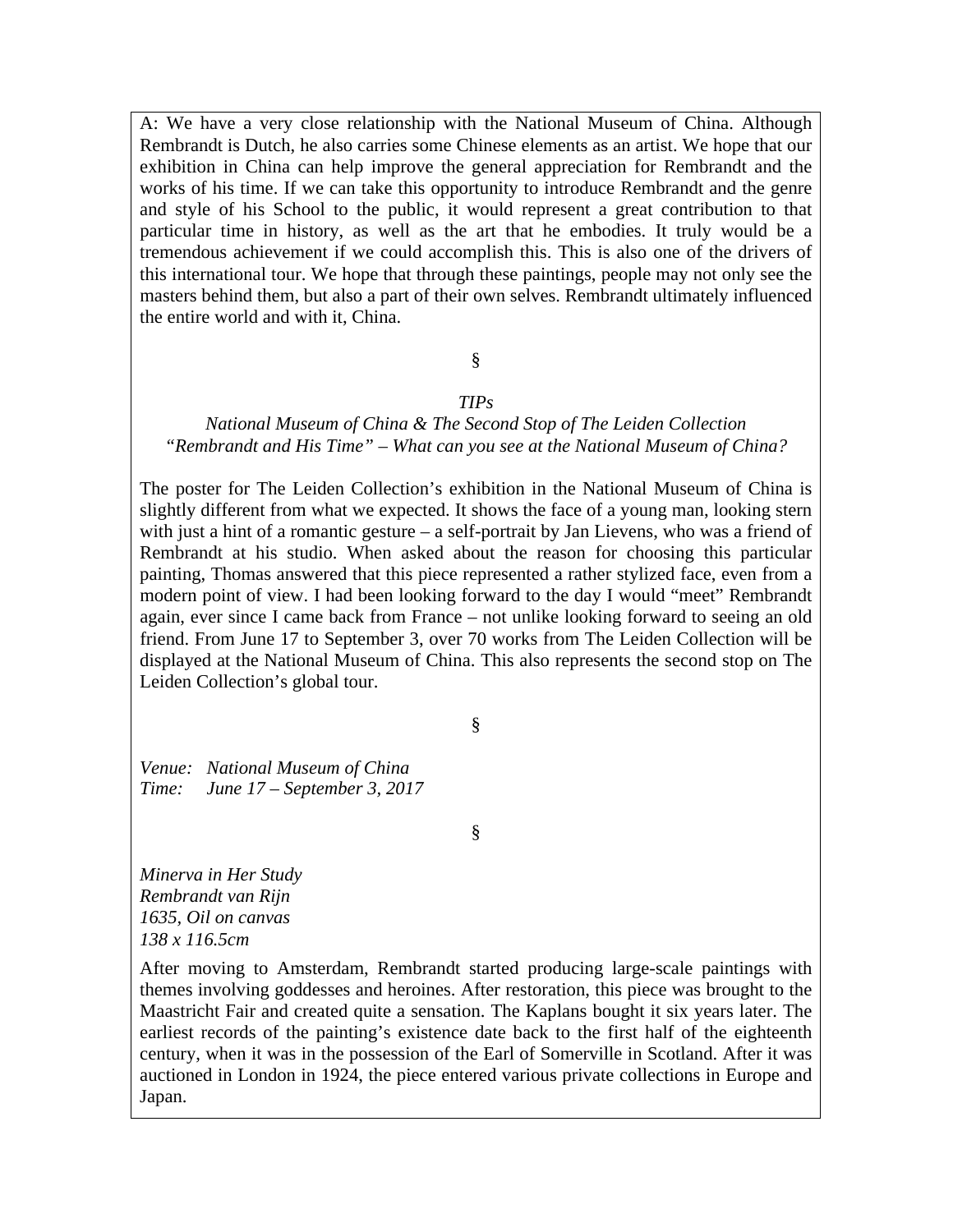A: We have a very close relationship with the National Museum of China. Although Rembrandt is Dutch, he also carries some Chinese elements as an artist. We hope that our exhibition in China can help improve the general appreciation for Rembrandt and the works of his time. If we can take this opportunity to introduce Rembrandt and the genre and style of his School to the public, it would represent a great contribution to that particular time in history, as well as the art that he embodies. It truly would be a tremendous achievement if we could accomplish this. This is also one of the drivers of this international tour. We hope that through these paintings, people may not only see the masters behind them, but also a part of their own selves. Rembrandt ultimately influenced the entire world and with it, China.

# §

### *TIPs*

### *National Museum of China & The Second Stop of The Leiden Collection "Rembrandt and His Time" – What can you see at the National Museum of China?*

The poster for The Leiden Collection's exhibition in the National Museum of China is slightly different from what we expected. It shows the face of a young man, looking stern with just a hint of a romantic gesture – a self-portrait by Jan Lievens, who was a friend of Rembrandt at his studio. When asked about the reason for choosing this particular painting, Thomas answered that this piece represented a rather stylized face, even from a modern point of view. I had been looking forward to the day I would "meet" Rembrandt again, ever since I came back from France – not unlike looking forward to seeing an old friend. From June 17 to September 3, over 70 works from The Leiden Collection will be displayed at the National Museum of China. This also represents the second stop on The Leiden Collection's global tour.

§

*Venue: National Museum of China Time: June 17 – September 3, 2017*

§

*Minerva in Her Study Rembrandt van Rijn 1635, Oil on canvas 138 x 116.5cm*

After moving to Amsterdam, Rembrandt started producing large-scale paintings with themes involving goddesses and heroines. After restoration, this piece was brought to the Maastricht Fair and created quite a sensation. The Kaplans bought it six years later. The earliest records of the painting's existence date back to the first half of the eighteenth century, when it was in the possession of the Earl of Somerville in Scotland. After it was auctioned in London in 1924, the piece entered various private collections in Europe and Japan.